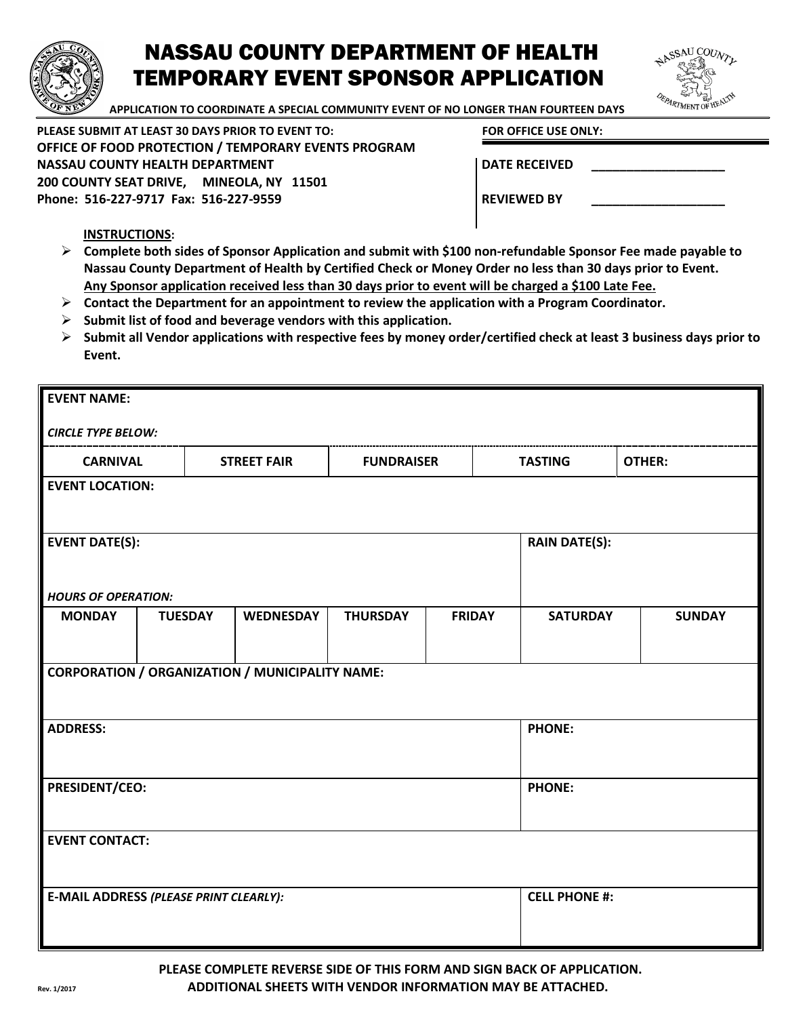

## NASSAU COUNTY DEPARTMENT OF HEALTH TEMPORARY EVENT SPONSOR APPLICATION



 **APPLICATION TO COORDINATE A SPECIAL COMMUNITY EVENT OF NO LONGER THAN FOURTEEN DAYS**

**PLEASE SUBMIT AT LEAST 30 DAYS PRIOR TO EVENT TO: FOR OFFICE USE ONLY: OFFICE OF FOOD PROTECTION / TEMPORARY EVENTS PROGRAM**  NASSAU COUNTY HEALTH DEPARTMENT **DEFALL ASSAU COUNTY HEALTH DEPARTMENT 200 COUNTY SEAT DRIVE, MINEOLA, NY 11501** Phone: 516-227-9717 Fax: 516-227-9559 **REVIEWED BY** REVIEWED BY

## **INSTRUCTIONS:**

- **Complete both sides of Sponsor Application and submit with \$100 non-refundable Sponsor Fee made payable to Nassau County Department of Health by Certified Check or Money Order no less than 30 days prior to Event. Any Sponsor application received less than 30 days prior to event will be charged a \$100 Late Fee.**
- **Contact the Department for an appointment to review the application with a Program Coordinator.**
- **Submit list of food and beverage vendors with this application.**
- **Submit all Vendor applications with respective fees by money order/certified check at least 3 business days prior to Event.**

| <b>EVENT NAME:</b>                                     |                |                    |                   |                      |                 |               |  |
|--------------------------------------------------------|----------------|--------------------|-------------------|----------------------|-----------------|---------------|--|
| <b>CIRCLE TYPE BELOW:</b>                              |                |                    |                   |                      |                 |               |  |
| <b>CARNIVAL</b>                                        |                | <b>STREET FAIR</b> | <b>FUNDRAISER</b> |                      | <b>TASTING</b>  | <b>OTHER:</b> |  |
| <b>EVENT LOCATION:</b>                                 |                |                    |                   |                      |                 |               |  |
|                                                        |                |                    |                   |                      |                 |               |  |
| <b>EVENT DATE(S):</b>                                  |                |                    |                   | <b>RAIN DATE(S):</b> |                 |               |  |
|                                                        |                |                    |                   |                      |                 |               |  |
| <b>HOURS OF OPERATION:</b><br><b>MONDAY</b>            | <b>TUESDAY</b> | WEDNESDAY          | <b>THURSDAY</b>   | <b>FRIDAY</b>        | <b>SATURDAY</b> | <b>SUNDAY</b> |  |
|                                                        |                |                    |                   |                      |                 |               |  |
| <b>CORPORATION / ORGANIZATION / MUNICIPALITY NAME:</b> |                |                    |                   |                      |                 |               |  |
|                                                        |                |                    |                   |                      |                 |               |  |
| <b>ADDRESS:</b>                                        |                |                    |                   | <b>PHONE:</b>        |                 |               |  |
|                                                        |                |                    |                   |                      |                 |               |  |
| <b>PRESIDENT/CEO:</b>                                  |                |                    |                   | <b>PHONE:</b>        |                 |               |  |
|                                                        |                |                    |                   |                      |                 |               |  |
| <b>EVENT CONTACT:</b>                                  |                |                    |                   |                      |                 |               |  |
|                                                        |                |                    |                   |                      |                 |               |  |
| E-MAIL ADDRESS (PLEASE PRINT CLEARLY):                 |                |                    |                   | <b>CELL PHONE #:</b> |                 |               |  |
|                                                        |                |                    |                   |                      |                 |               |  |

**PLEASE COMPLETE REVERSE SIDE OF THIS FORM AND SIGN BACK OF APPLICATION. Rev. 1/2017 ADDITIONAL SHEETS WITH VENDOR INFORMATION MAY BE ATTACHED.**